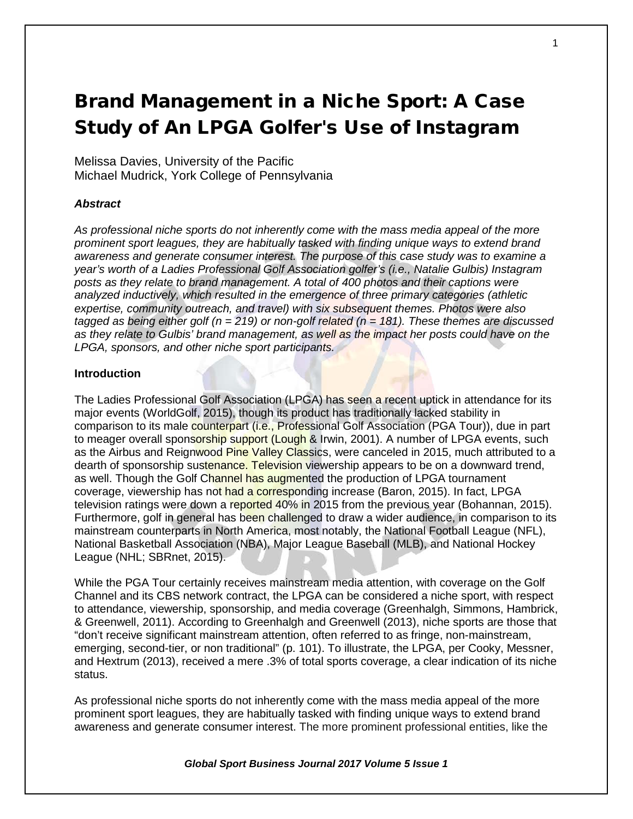# Brand Management in a Niche Sport: A Case Study of An LPGA Golfer's Use of Instagram

Melissa Davies, University of the Pacific Michael Mudrick, York College of Pennsylvania

## *Abstract*

*As professional niche sports do not inherently come with the mass media appeal of the more prominent sport leagues, they are habitually tasked with finding unique ways to extend brand awareness and generate consumer interest. The purpose of this case study was to examine a year's worth of a Ladies Professional Golf Association golfer's (i.e., Natalie Gulbis) Instagram posts as they relate to brand management. A total of 400 photos and their captions were analyzed inductively, which resulted in the emergence of three primary categories (athletic expertise, community outreach, and travel) with six subsequent themes. Photos were also tagged as being either golf (n = 219) or non-golf related (n = 181). These themes are discussed as they relate to Gulbis' brand management, as well as the impact her posts could have on the LPGA, sponsors, and other niche sport participants.*

## **Introduction**

The Ladies Professional Golf Association (LPGA) has seen a recent uptick in attendance for its major events (WorldGolf, 2015), though its product has traditionally lacked stability in comparison to its male counterpart (i.e., Professional Golf Association (PGA Tour)), due in part to meager overall sponsorship support (Lough & Irwin, 2001). A number of LPGA events, such as the Airbus and Reignwood Pine Valley Classics, were canceled in 2015, much attributed to a dearth of sponsorship sustenance. Television viewership appears to be on a downward trend, as well. Though the Golf Channel has augmented the production of LPGA tournament coverage, viewership has not had a corresponding increase (Baron, 2015). In fact, LPGA television ratings were down a reported 40% in 2015 from the previous year (Bohannan, 2015). Furthermore, golf in general has been challenged to draw a wider audience, in comparison to its mainstream counterparts in North America, most notably, the National Football League (NFL), National Basketball Association (NBA), Major League Baseball (MLB), and National Hockey League (NHL; SBRnet, 2015).

While the PGA Tour certainly receives mainstream media attention, with coverage on the Golf Channel and its CBS network contract, the LPGA can be considered a niche sport, with respect to attendance, viewership, sponsorship, and media coverage (Greenhalgh, Simmons, Hambrick, & Greenwell, 2011). According to Greenhalgh and Greenwell (2013), niche sports are those that "don't receive significant mainstream attention, often referred to as fringe, non-mainstream, emerging, second-tier, or non traditional" (p. 101). To illustrate, the LPGA, per Cooky, Messner, and Hextrum (2013), received a mere .3% of total sports coverage, a clear indication of its niche status.

As professional niche sports do not inherently come with the mass media appeal of the more prominent sport leagues, they are habitually tasked with finding unique ways to extend brand awareness and generate consumer interest. The more prominent professional entities, like the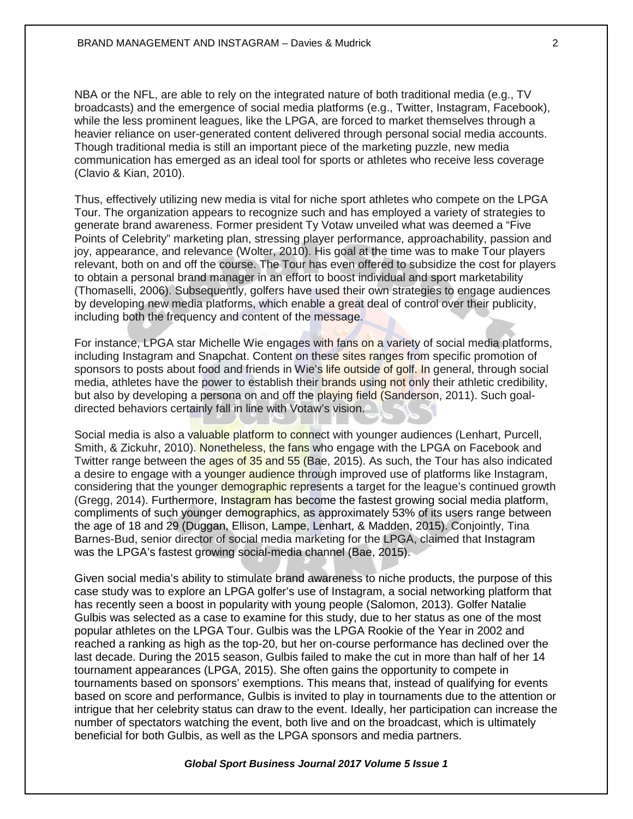NBA or the NFL, are able to rely on the integrated nature of both traditional media (e.g., TV broadcasts) and the emergence of social media platforms (e.g., Twitter, Instagram, Facebook), while the less prominent leagues, like the LPGA, are forced to market themselves through a heavier reliance on user-generated content delivered through personal social media accounts. Though traditional media is still an important piece of the marketing puzzle, new media communication has emerged as an ideal tool for sports or athletes who receive less coverage (Clavio & Kian, 2010).

Thus, effectively utilizing new media is vital for niche sport athletes who compete on the LPGA Tour. The organization appears to recognize such and has employed a variety of strategies to generate brand awareness. Former president Ty Votaw unveiled what was deemed a "Five Points of Celebrity" marketing plan, stressing player performance, approachability, passion and joy, appearance, and relevance (Wolter, 2010). His goal at the time was to make Tour players relevant, both on and off the course. The Tour has even offered to subsidize the cost for players to obtain a personal brand manager in an effort to boost individual and sport marketability (Thomaselli, 2006). Subsequently, golfers have used their own strategies to engage audiences by developing new media platforms, which enable a great deal of control over their publicity, including both the frequency and content of the message.

For instance, LPGA star Michelle Wie engages with fans on a variety of social media platforms, including Instagram and Snapchat. Content on these sites ranges from specific promotion of sponsors to posts about food and friends in Wie's life outside of golf. In general, through social media, athletes have the power to establish their brands using not only their athletic credibility, but also by developing a persona on and off the playing field (Sanderson, 2011). Such goaldirected behaviors certainly fall in line with Votaw's vision.

Social media is also a valuable platform to connect with younger audiences (Lenhart, Purcell, Smith, & Zickuhr, 2010). Nonetheless, the fans who engage with the LPGA on Facebook and Twitter range between the ages of 35 and 55 (Bae, 2015). As such, the Tour has also indicated a desire to engage with a younger audience through improved use of platforms like Instagram, considering that the younger demographic represents a target for the league's continued growth (Gregg, 2014). Furthermore, Instagram has become the fastest growing social media platform, compliments of such younger demographics, as approximately 53% of its users range between the age of 18 and 29 (Duggan, Ellison, Lampe, Lenhart, & Madden, 2015). Conjointly, Tina Barnes-Bud, senior director of social media marketing for the LPGA, claimed that Instagram was the LPGA's fastest growing social-media channel (Bae, 2015).

Given social media's ability to stimulate brand awareness to niche products, the purpose of this case study was to explore an LPGA golfer's use of Instagram, a social networking platform that has recently seen a boost in popularity with young people (Salomon, 2013). Golfer Natalie Gulbis was selected as a case to examine for this study, due to her status as one of the most popular athletes on the LPGA Tour. Gulbis was the LPGA Rookie of the Year in 2002 and reached a ranking as high as the top-20, but her on-course performance has declined over the last decade. During the 2015 season, Gulbis failed to make the cut in more than half of her 14 tournament appearances (LPGA, 2015). She often gains the opportunity to compete in tournaments based on sponsors' exemptions. This means that, instead of qualifying for events based on score and performance, Gulbis is invited to play in tournaments due to the attention or intrigue that her celebrity status can draw to the event. Ideally, her participation can increase the number of spectators watching the event, both live and on the broadcast, which is ultimately beneficial for both Gulbis, as well as the LPGA sponsors and media partners.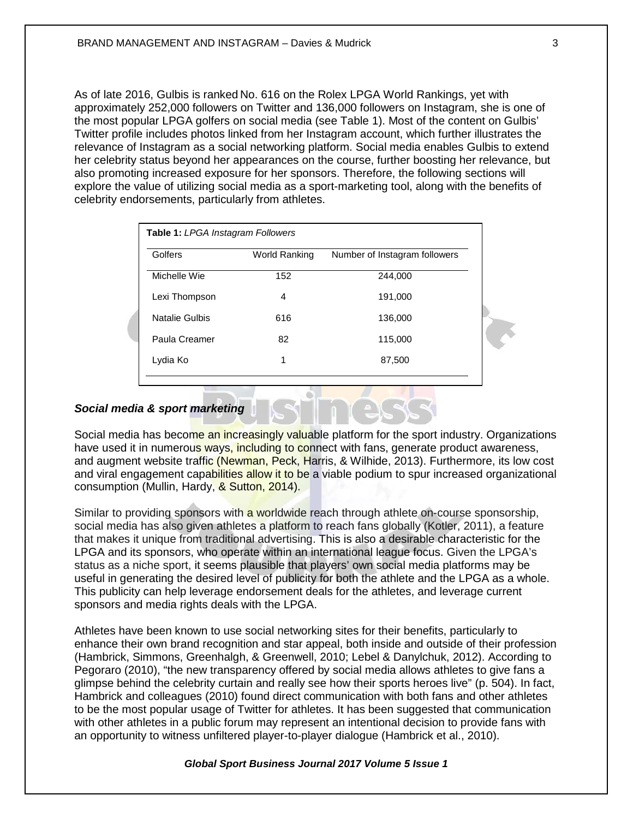As of late 2016, Gulbis is ranked No. 616 on the Rolex LPGA World Rankings, yet with approximately 252,000 followers on Twitter and 136,000 followers on Instagram, she is one of the most popular LPGA golfers on social media (see Table 1). Most of the content on Gulbis' Twitter profile includes photos linked from her Instagram account, which further illustrates the relevance of Instagram as a social networking platform. Social media enables Gulbis to extend her celebrity status beyond her appearances on the course, further boosting her relevance, but also promoting increased exposure for her sponsors. Therefore, the following sections will explore the value of utilizing social media as a sport-marketing tool, along with the benefits of celebrity endorsements, particularly from athletes.

| Golfers        | World Ranking | Number of Instagram followers |
|----------------|---------------|-------------------------------|
| Michelle Wie   | 152           | 244.000                       |
| Lexi Thompson  | 4             | 191,000                       |
| Natalie Gulbis | 616           | 136,000                       |
| Paula Creamer  | 82            | 115,000                       |
| Lydia Ko       | 1             | 87,500                        |

## *Social media & sport marketing*

Social media has become an increasingly valuable platform for the sport industry. Organizations have used it in numerous ways, including to connect with fans, generate product awareness, and augment website traffic (Newman, Peck, Harris, & Wilhide, 2013). Furthermore, its low cost and viral engagement capabilities allow it to be a viable podium to spur increased organizational consumption (Mullin, Hardy, & Sutton, 2014).

Similar to providing sponsors with a worldwide reach through athlete on-course sponsorship, social media has also given athletes a platform to reach fans globally (Kotler, 2011), a feature that makes it unique from traditional advertising. This is also a desirable characteristic for the LPGA and its sponsors, who operate within an international league focus. Given the LPGA's status as a niche sport, it seems plausible that players' own social media platforms may be useful in generating the desired level of publicity for both the athlete and the LPGA as a whole. This publicity can help leverage endorsement deals for the athletes, and leverage current sponsors and media rights deals with the LPGA.

Athletes have been known to use social networking sites for their benefits, particularly to enhance their own brand recognition and star appeal, both inside and outside of their profession (Hambrick, Simmons, Greenhalgh, & Greenwell, 2010; Lebel & Danylchuk, 2012). According to Pegoraro (2010), "the new transparency offered by social media allows athletes to give fans a glimpse behind the celebrity curtain and really see how their sports heroes live" (p. 504). In fact, Hambrick and colleagues (2010) found direct communication with both fans and other athletes to be the most popular usage of Twitter for athletes. It has been suggested that communication with other athletes in a public forum may represent an intentional decision to provide fans with an opportunity to witness unfiltered player-to-player dialogue (Hambrick et al., 2010).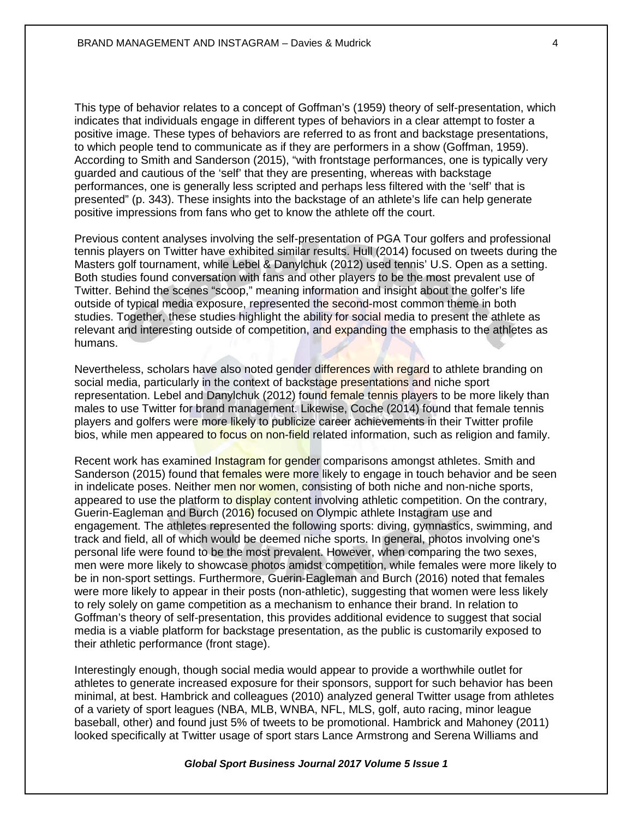This type of behavior relates to a concept of Goffman's (1959) theory of self-presentation, which indicates that individuals engage in different types of behaviors in a clear attempt to foster a positive image. These types of behaviors are referred to as front and backstage presentations, to which people tend to communicate as if they are performers in a show (Goffman, 1959). According to Smith and Sanderson (2015), "with frontstage performances, one is typically very guarded and cautious of the 'self' that they are presenting, whereas with backstage performances, one is generally less scripted and perhaps less filtered with the 'self' that is presented" (p. 343). These insights into the backstage of an athlete's life can help generate positive impressions from fans who get to know the athlete off the court.

Previous content analyses involving the self-presentation of PGA Tour golfers and professional tennis players on Twitter have exhibited similar results. Hull (2014) focused on tweets during the Masters golf tournament, while Lebel & Danylchuk (2012) used tennis' U.S. Open as a setting. Both studies found conversation with fans and other players to be the most prevalent use of Twitter. Behind the scenes "scoop," meaning information and insight about the golfer's life outside of typical media exposure, represented the second-most common theme in both studies. Together, these studies highlight the ability for social media to present the athlete as relevant and interesting outside of competition, and expanding the emphasis to the athletes as humans.

Nevertheless, scholars have also noted gender differences with regard to athlete branding on social media, particularly in the context of backstage presentations and niche sport representation. Lebel and Danylchuk (2012) found female tennis players to be more likely than males to use Twitter for brand management. Likewise, Coche (2014) found that female tennis players and golfers were more likely to publicize career achievements in their Twitter profile bios, while men appeared to focus on non-field related information, such as religion and family.

Recent work has examined Instagram for gender comparisons amongst athletes. Smith and Sanderson (2015) found that females were more likely to engage in touch behavior and be seen in indelicate poses. Neither men nor women, consisting of both niche and non-niche sports, appeared to use the platform to display content involving athletic competition. On the contrary, Guerin-Eagleman and Burch (2016) focused on Olympic athlete Instagram use and engagement. The athletes represented the following sports: diving, gymnastics, swimming, and track and field, all of which would be deemed niche sports. In general, photos involving one's personal life were found to be the most prevalent. However, when comparing the two sexes, men were more likely to showcase photos amidst competition, while females were more likely to be in non-sport settings. Furthermore, Guerin-Eagleman and Burch (2016) noted that females were more likely to appear in their posts (non-athletic), suggesting that women were less likely to rely solely on game competition as a mechanism to enhance their brand. In relation to Goffman's theory of self-presentation, this provides additional evidence to suggest that social media is a viable platform for backstage presentation, as the public is customarily exposed to their athletic performance (front stage).

Interestingly enough, though social media would appear to provide a worthwhile outlet for athletes to generate increased exposure for their sponsors, support for such behavior has been minimal, at best. Hambrick and colleagues (2010) analyzed general Twitter usage from athletes of a variety of sport leagues (NBA, MLB, WNBA, NFL, MLS, golf, auto racing, minor league baseball, other) and found just 5% of tweets to be promotional. Hambrick and Mahoney (2011) looked specifically at Twitter usage of sport stars Lance Armstrong and Serena Williams and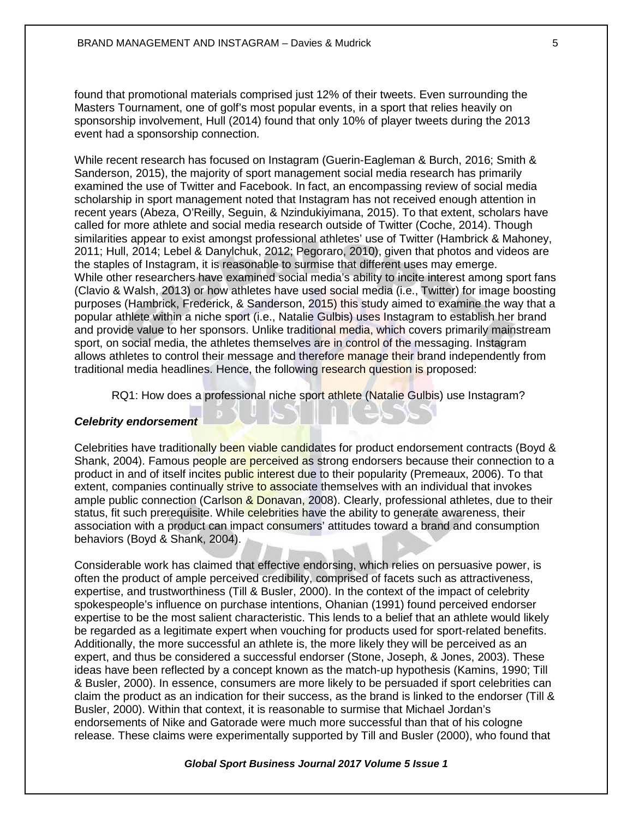found that promotional materials comprised just 12% of their tweets. Even surrounding the Masters Tournament, one of golf's most popular events, in a sport that relies heavily on sponsorship involvement, Hull (2014) found that only 10% of player tweets during the 2013 event had a sponsorship connection.

While recent research has focused on Instagram (Guerin-Eagleman & Burch, 2016; Smith & Sanderson, 2015), the majority of sport management social media research has primarily examined the use of Twitter and Facebook. In fact, an encompassing review of social media scholarship in sport management noted that Instagram has not received enough attention in recent years (Abeza, O'Reilly, Seguin, & Nzindukiyimana, 2015). To that extent, scholars have called for more athlete and social media research outside of Twitter (Coche, 2014). Though similarities appear to exist amongst professional athletes' use of Twitter (Hambrick & Mahoney, 2011; Hull, 2014; Lebel & Danylchuk, 2012; Pegoraro, 2010), given that photos and videos are the staples of Instagram, it is reasonable to surmise that different uses may emerge. While other researchers have examined social media's ability to incite interest among sport fans (Clavio & Walsh, 2013) or how athletes have used social media (i.e., Twitter) for image boosting purposes (Hambrick, Frederick, & Sanderson, 2015) this study aimed to examine the way that a popular athlete within a niche sport (i.e., Natalie Gulbis) uses Instagram to establish her brand and provide value to her sponsors. Unlike traditional media, which covers primarily mainstream sport, on social media, the athletes themselves are in control of the messaging. Instagram allows athletes to control their message and therefore manage their brand independently from traditional media headlines. Hence, the following research question is proposed:

RQ1: How does a professional niche sport athlete (Natalie Gulbis) use Instagram?

## *Celebrity endorsement*

Celebrities have traditionally been viable candidates for product endorsement contracts (Boyd & Shank, 2004). Famous people are perceived as strong endorsers because their connection to a product in and of itself incites public interest due to their popularity (Premeaux, 2006). To that extent, companies continually strive to associate themselves with an individual that invokes ample public connection (Carlson & Donavan, 2008). Clearly, professional athletes, due to their status, fit such prerequisite. While celebrities have the ability to generate awareness, their association with a product can impact consumers' attitudes toward a brand and consumption behaviors (Boyd & Shank, 2004).

Considerable work has claimed that effective endorsing, which relies on persuasive power, is often the product of ample perceived credibility, comprised of facets such as attractiveness, expertise, and trustworthiness (Till & Busler, 2000). In the context of the impact of celebrity spokespeople's influence on purchase intentions, Ohanian (1991) found perceived endorser expertise to be the most salient characteristic. This lends to a belief that an athlete would likely be regarded as a legitimate expert when vouching for products used for sport-related benefits. Additionally, the more successful an athlete is, the more likely they will be perceived as an expert, and thus be considered a successful endorser (Stone, Joseph, & Jones, 2003). These ideas have been reflected by a concept known as the match-up hypothesis (Kamins, 1990; Till & Busler, 2000). In essence, consumers are more likely to be persuaded if sport celebrities can claim the product as an indication for their success, as the brand is linked to the endorser (Till & Busler, 2000). Within that context, it is reasonable to surmise that Michael Jordan's endorsements of Nike and Gatorade were much more successful than that of his cologne release. These claims were experimentally supported by Till and Busler (2000), who found that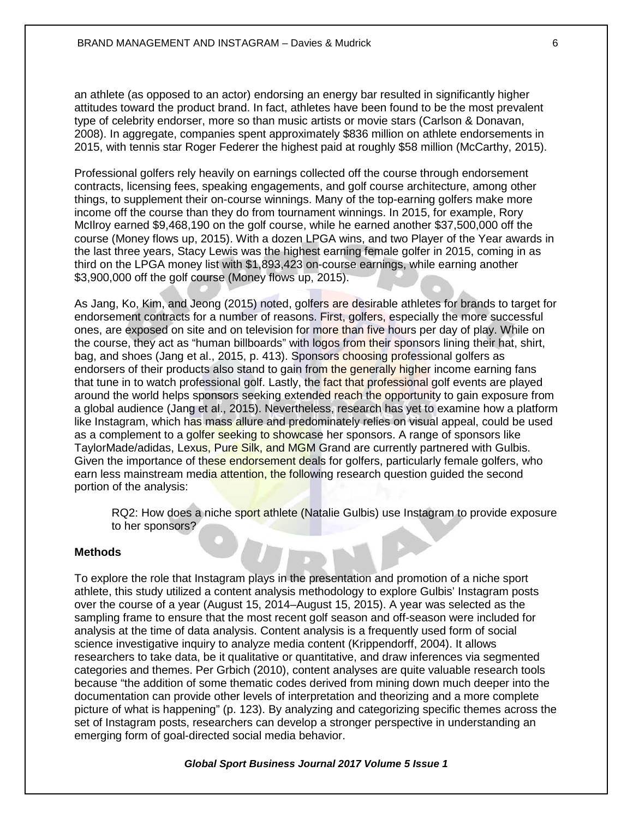an athlete (as opposed to an actor) endorsing an energy bar resulted in significantly higher attitudes toward the product brand. In fact, athletes have been found to be the most prevalent type of celebrity endorser, more so than music artists or movie stars (Carlson & Donavan, 2008). In aggregate, companies spent approximately \$836 million on athlete endorsements in 2015, with tennis star Roger Federer the highest paid at roughly \$58 million (McCarthy, 2015).

Professional golfers rely heavily on earnings collected off the course through endorsement contracts, licensing fees, speaking engagements, and golf course architecture, among other things, to supplement their on-course winnings. Many of the top-earning golfers make more income off the course than they do from tournament winnings. In 2015, for example, Rory McIlroy earned \$9,468,190 on the golf course, while he earned another \$37,500,000 off the course (Money flows up, 2015). With a dozen LPGA wins, and two Player of the Year awards in the last three years, Stacy Lewis was the highest earning female golfer in 2015, coming in as third on the LPGA money list with \$1,893,423 on-course earnings, while earning another \$3,900,000 off the golf course (Money flows up, 2015).

As Jang, Ko, Kim, and Jeong (2015) noted, golfers are desirable athletes for brands to target for endorsement contracts for a number of reasons. First, golfers, especially the more successful ones, are exposed on site and on television for more than five hours per day of play. While on the course, they act as "human billboards" with logos from their sponsors lining their hat, shirt, bag, and shoes (Jang et al., 2015, p. 413). Sponsors choosing professional golfers as endorsers of their products also stand to gain from the generally higher income earning fans that tune in to watch professional golf. Lastly, the fact that professional golf events are played around the world helps sponsors seeking extended reach the opportunity to gain exposure from a global audience (Jang et al., 2015). Nevertheless, research has yet to examine how a platform like Instagram, which has mass allure and predominately relies on visual appeal, could be used as a complement to a golfer seeking to showcase her sponsors. A range of sponsors like TaylorMade/adidas, Lexus, Pure Silk, and MGM Grand are currently partnered with Gulbis. Given the importance of these endorsement deals for golfers, particularly female golfers, who earn less mainstream media attention, the following research question quided the second portion of the analysis:

RQ2: How does a niche sport athlete (Natalie Gulbis) use Instagram to provide exposure to her sponsors?

## **Methods**

To explore the role that Instagram plays in the presentation and promotion of a niche sport athlete, this study utilized a content analysis methodology to explore Gulbis' Instagram posts over the course of a year (August 15, 2014–August 15, 2015). A year was selected as the sampling frame to ensure that the most recent golf season and off-season were included for analysis at the time of data analysis. Content analysis is a frequently used form of social science investigative inquiry to analyze media content (Krippendorff, 2004). It allows researchers to take data, be it qualitative or quantitative, and draw inferences via segmented categories and themes. Per Grbich (2010), content analyses are quite valuable research tools because "the addition of some thematic codes derived from mining down much deeper into the documentation can provide other levels of interpretation and theorizing and a more complete picture of what is happening" (p. 123). By analyzing and categorizing specific themes across the set of Instagram posts, researchers can develop a stronger perspective in understanding an emerging form of goal-directed social media behavior.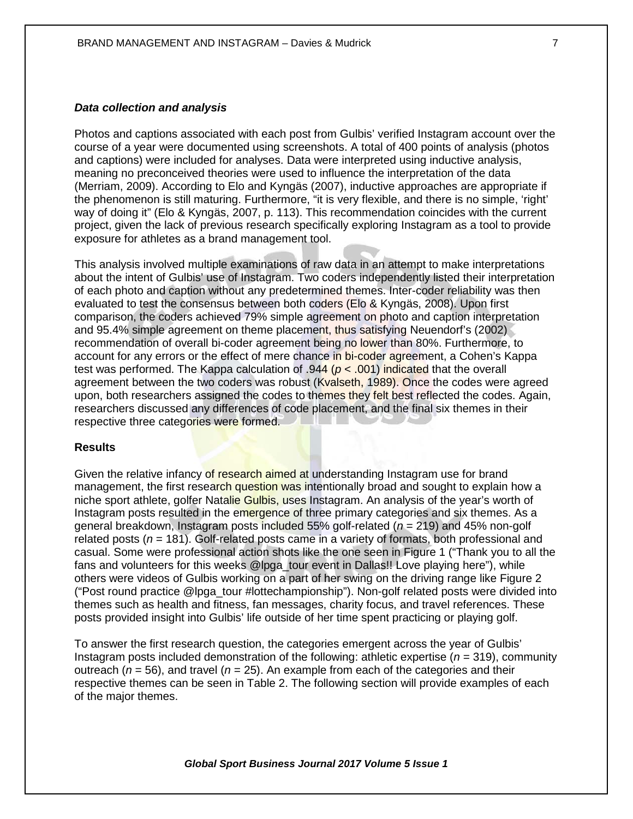## *Data collection and analysis*

Photos and captions associated with each post from Gulbis' verified Instagram account over the course of a year were documented using screenshots. A total of 400 points of analysis (photos and captions) were included for analyses. Data were interpreted using inductive analysis, meaning no preconceived theories were used to influence the interpretation of the data (Merriam, 2009). According to Elo and Kyngäs (2007), inductive approaches are appropriate if the phenomenon is still maturing. Furthermore, "it is very flexible, and there is no simple, 'right' way of doing it" (Elo & Kyngäs, 2007, p. 113). This recommendation coincides with the current project, given the lack of previous research specifically exploring Instagram as a tool to provide exposure for athletes as a brand management tool.

This analysis involved multiple examinations of raw data in an attempt to make interpretations about the intent of Gulbis' use of Instagram. Two coders independently listed their interpretation of each photo and caption without any predetermined themes. Inter-coder reliability was then evaluated to test the consensus between both coders (Elo & Kyngäs, 2008). Upon first comparison, the coders achieved 79% simple agreement on photo and caption interpretation and 95.4% simple agreement on theme placement, thus satisfying Neuendorf's (2002) recommendation of overall bi-coder agreement being no lower than 80%. Furthermore, to account for any errors or the effect of mere chance in bi-coder agreement, a Cohen's Kappa test was performed. The Kappa calculation of .944 (*p* < .001) indicated that the overall agreement between the two coders was robust (Kvalseth, 1989). Once the codes were agreed upon, both researchers assigned the codes to themes they felt best reflected the codes. Again, researchers discussed any differences of code placement, and the final six themes in their respective three categories were formed.

#### **Results**

Given the relative infancy of research aimed at understanding Instagram use for brand management, the first research question was intentionally broad and sought to explain how a niche sport athlete, golfer Natalie Gulbis, uses Instagram. An analysis of the year's worth of Instagram posts resulted in the emergence of three primary categories and six themes. As a general breakdown, Instagram posts included 55% golf-related (*n* = 219) and 45% non-golf related posts (*n* = 181). Golf-related posts came in a variety of formats, both professional and casual. Some were professional action shots like the one seen in Figure 1 ("Thank you to all the fans and volunteers for this weeks @lpga\_tour event in Dallas!! Love playing here"), while others were videos of Gulbis working on a part of her swing on the driving range like Figure 2 ("Post round practice @lpga\_tour #lottechampionship"). Non-golf related posts were divided into themes such as health and fitness, fan messages, charity focus, and travel references. These posts provided insight into Gulbis' life outside of her time spent practicing or playing golf.

To answer the first research question, the categories emergent across the year of Gulbis' Instagram posts included demonstration of the following: athletic expertise (*n* = 319), community outreach ( $n = 56$ ), and travel ( $n = 25$ ). An example from each of the categories and their respective themes can be seen in Table 2. The following section will provide examples of each of the major themes.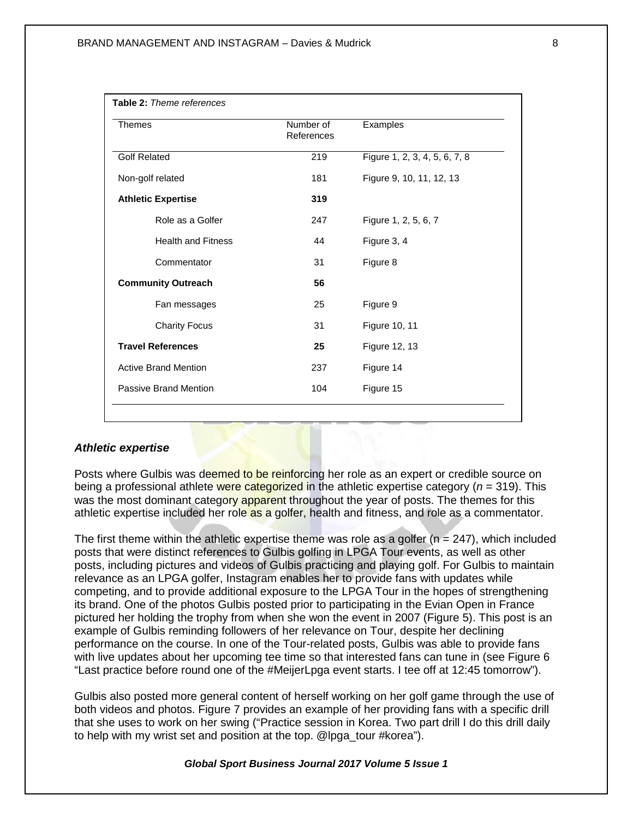| Table 2: Theme references   |                         |                               |
|-----------------------------|-------------------------|-------------------------------|
| <b>Themes</b>               | Number of<br>References | Examples                      |
| <b>Golf Related</b>         | 219                     | Figure 1, 2, 3, 4, 5, 6, 7, 8 |
| Non-golf related            | 181                     | Figure 9, 10, 11, 12, 13      |
| <b>Athletic Expertise</b>   | 319                     |                               |
| Role as a Golfer            | 247                     | Figure 1, 2, 5, 6, 7          |
| <b>Health and Fitness</b>   | 44                      | Figure 3, 4                   |
| Commentator                 | 31                      | Figure 8                      |
| <b>Community Outreach</b>   | 56                      |                               |
| Fan messages                | 25                      | Figure 9                      |
| <b>Charity Focus</b>        | 31                      | Figure 10, 11                 |
| <b>Travel References</b>    | 25                      | Figure 12, 13                 |
| <b>Active Brand Mention</b> | 237                     | Figure 14                     |
| Passive Brand Mention       | 104                     | Figure 15                     |

#### *Athletic expertise*

Posts where Gulbis was deemed to be reinforcing her role as an expert or credible source on being a professional athlete were categorized in the athletic expertise category (*n* = 319). This was the most dominant category apparent throughout the year of posts. The themes for this athletic expertise included her role as a golfer, health and fitness, and role as a commentator.

The first theme within the athletic expertise theme was role as a golfer ( $n = 247$ ), which included posts that were distinct references to Gulbis golfing in LPGA Tour events, as well as other posts, including pictures and videos of Gulbis practicing and playing golf. For Gulbis to maintain relevance as an LPGA golfer, Instagram enables her to provide fans with updates while competing, and to provide additional exposure to the LPGA Tour in the hopes of strengthening its brand. One of the photos Gulbis posted prior to participating in the Evian Open in France pictured her holding the trophy from when she won the event in 2007 (Figure 5). This post is an example of Gulbis reminding followers of her relevance on Tour, despite her declining performance on the course. In one of the Tour-related posts, Gulbis was able to provide fans with live updates about her upcoming tee time so that interested fans can tune in (see Figure 6 "Last practice before round one of the #MeijerLpga event starts. I tee off at 12:45 tomorrow").

Gulbis also posted more general content of herself working on her golf game through the use of both videos and photos. Figure 7 provides an example of her providing fans with a specific drill that she uses to work on her swing ("Practice session in Korea. Two part drill I do this drill daily to help with my wrist set and position at the top. @lpga\_tour #korea").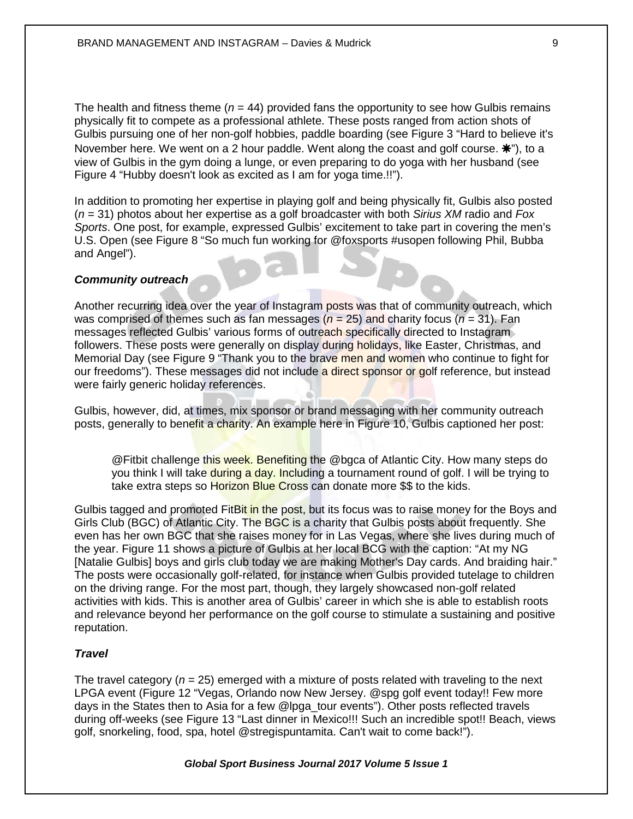The health and fitness theme  $(n = 44)$  provided fans the opportunity to see how Gulbis remains physically fit to compete as a professional athlete. These posts ranged from action shots of Gulbis pursuing one of her non-golf hobbies, paddle boarding (see Figure 3 "Hard to believe it's November here. We went on a 2 hour paddle. Went along the coast and golf course.  $\mathbf{H}$ "), to a view of Gulbis in the gym doing a lunge, or even preparing to do yoga with her husband (see Figure 4 "Hubby doesn't look as excited as I am for yoga time.!!").

In addition to promoting her expertise in playing golf and being physically fit, Gulbis also posted (*n* = 31) photos about her expertise as a golf broadcaster with both *Sirius XM* radio and *Fox Sports*. One post, for example, expressed Gulbis' excitement to take part in covering the men's U.S. Open (see Figure 8 "So much fun working for @foxsports #usopen following Phil, Bubba and Angel").

## *Community outreach*

Another recurring idea over the year of Instagram posts was that of community outreach, which was comprised of themes such as fan messages ( $n = 25$ ) and charity focus ( $n = 31$ ). Fan messages reflected Gulbis' various forms of outreach specifically directed to Instagram followers. These posts were generally on display during holidays, like Easter, Christmas, and Memorial Day (see Figure 9 "Thank you to the brave men and women who continue to fight for our freedoms"). These messages did not include a direct sponsor or golf reference, but instead were fairly generic holiday references.

Gulbis, however, did, at times, mix sponsor or brand messaging with her community outreach posts, generally to benefit a charity. An example here in Figure 10, Gulbis captioned her post:

@Fitbit challenge this week. Benefiting the @bgca of Atlantic City. How many steps do you think I will take during a day. Including a tournament round of golf. I will be trying to take extra steps so Horizon Blue Cross can donate more \$\$ to the kids.

Gulbis tagged and promoted FitBit in the post, but its focus was to raise money for the Boys and Girls Club (BGC) of Atlantic City. The BGC is a charity that Gulbis posts about frequently. She even has her own BGC that she raises money for in Las Vegas, where she lives during much of the year. Figure 11 shows a picture of Gulbis at her local BCG with the caption: "At my NG [Natalie Gulbis] boys and girls club today we are making Mother's Day cards. And braiding hair." The posts were occasionally golf-related, for instance when Gulbis provided tutelage to children on the driving range. For the most part, though, they largely showcased non-golf related activities with kids. This is another area of Gulbis' career in which she is able to establish roots and relevance beyond her performance on the golf course to stimulate a sustaining and positive reputation.

## *Travel*

The travel category ( $n = 25$ ) emerged with a mixture of posts related with traveling to the next LPGA event (Figure 12 "Vegas, Orlando now New Jersey. @spg golf event today!! Few more days in the States then to Asia for a few @lpga\_tour events"). Other posts reflected travels during off-weeks (see Figure 13 "Last dinner in Mexico!!! Such an incredible spot!! Beach, views golf, snorkeling, food, spa, hotel @stregispuntamita. Can't wait to come back!").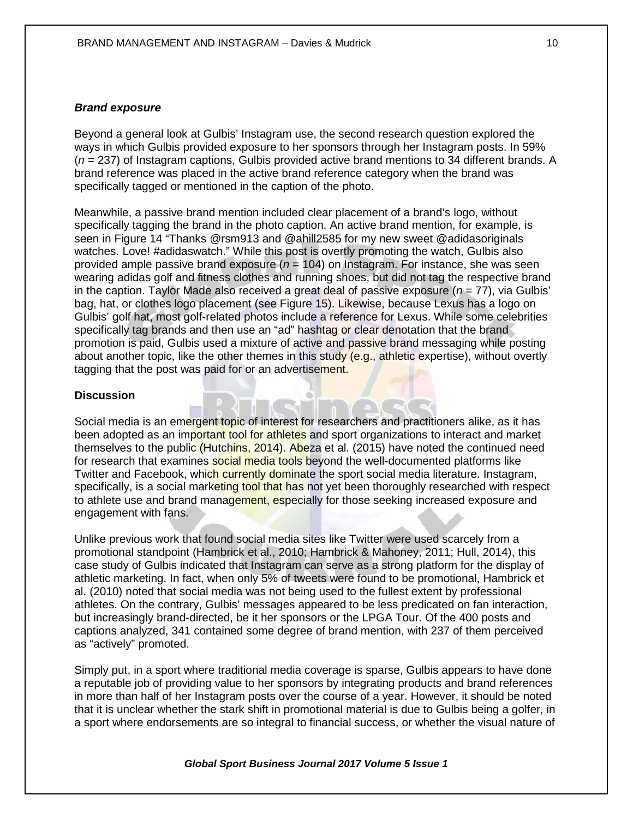#### *Brand exposure*

Beyond a general look at Gulbis' Instagram use, the second research question explored the ways in which Gulbis provided exposure to her sponsors through her Instagram posts. In 59% (*n* = 237) of Instagram captions, Gulbis provided active brand mentions to 34 different brands. A brand reference was placed in the active brand reference category when the brand was specifically tagged or mentioned in the caption of the photo.

Meanwhile, a passive brand mention included clear placement of a brand's logo, without specifically tagging the brand in the photo caption. An active brand mention, for example, is seen in Figure 14 "Thanks @rsm913 and @ahill2585 for my new sweet @adidasoriginals watches. Love! #adidaswatch." While this post is overtly promoting the watch, Gulbis also provided ample passive brand exposure (*n* = 104) on Instagram. For instance, she was seen wearing adidas golf and fitness clothes and running shoes, but did not tag the respective brand in the caption. Taylor Made also received a great deal of passive exposure  $(n = 77)$ , via Gulbis' bag, hat, or clothes logo placement (see Figure 15). Likewise, because Lexus has a logo on Gulbis' golf hat, most golf-related photos include a reference for Lexus. While some celebrities specifically tag brands and then use an "ad" hashtag or clear denotation that the brand promotion is paid, Gulbis used a mixture of active and passive brand messaging while posting about another topic, like the other themes in this study (e.g., athletic expertise), without overtly tagging that the post was paid for or an advertisement.

#### **Discussion**

Social media is an emergent topic of interest for researchers and practitioners alike, as it has been adopted as an important tool for athletes and sport organizations to interact and market themselves to the public (Hutchins, 2014). Abeza et al. (2015) have noted the continued need for research that examines social media tools beyond the well-documented platforms like Twitter and Facebook, which currently dominate the sport social media literature. Instagram, specifically, is a social marketing tool that has not yet been thoroughly researched with respect to athlete use and brand management, especially for those seeking increased exposure and engagement with fans.

Unlike previous work that found social media sites like Twitter were used scarcely from a promotional standpoint (Hambrick et al., 2010; Hambrick & Mahoney, 2011; Hull, 2014), this case study of Gulbis indicated that Instagram can serve as a strong platform for the display of athletic marketing. In fact, when only 5% of tweets were found to be promotional, Hambrick et al. (2010) noted that social media was not being used to the fullest extent by professional athletes. On the contrary, Gulbis' messages appeared to be less predicated on fan interaction, but increasingly brand-directed, be it her sponsors or the LPGA Tour. Of the 400 posts and captions analyzed, 341 contained some degree of brand mention, with 237 of them perceived as "actively" promoted.

Simply put, in a sport where traditional media coverage is sparse, Gulbis appears to have done a reputable job of providing value to her sponsors by integrating products and brand references in more than half of her Instagram posts over the course of a year. However, it should be noted that it is unclear whether the stark shift in promotional material is due to Gulbis being a golfer, in a sport where endorsements are so integral to financial success, or whether the visual nature of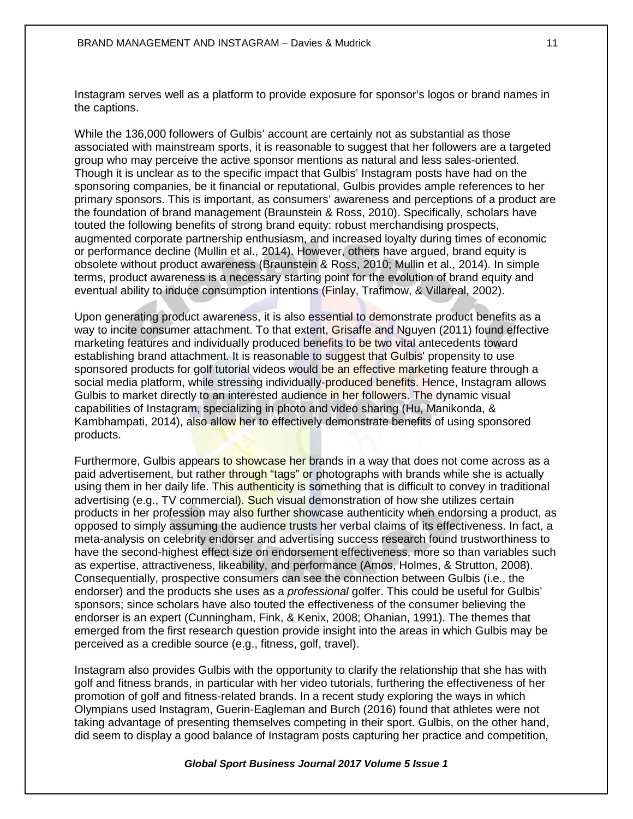Instagram serves well as a platform to provide exposure for sponsor's logos or brand names in the captions.

While the 136,000 followers of Gulbis' account are certainly not as substantial as those associated with mainstream sports, it is reasonable to suggest that her followers are a targeted group who may perceive the active sponsor mentions as natural and less sales-oriented. Though it is unclear as to the specific impact that Gulbis' Instagram posts have had on the sponsoring companies, be it financial or reputational, Gulbis provides ample references to her primary sponsors. This is important, as consumers' awareness and perceptions of a product are the foundation of brand management (Braunstein & Ross, 2010). Specifically, scholars have touted the following benefits of strong brand equity: robust merchandising prospects, augmented corporate partnership enthusiasm, and increased loyalty during times of economic or performance decline (Mullin et al., 2014). However, others have argued, brand equity is obsolete without product awareness (Braunstein & Ross, 2010; Mullin et al., 2014). In simple terms, product awareness is a necessary starting point for the evolution of brand equity and eventual ability to induce consumption intentions (Finlay, Trafimow, & Villareal, 2002).

Upon generating product awareness, it is also essential to demonstrate product benefits as a way to incite consumer attachment. To that extent, Grisaffe and Nguyen (2011) found effective marketing features and individually produced benefits to be two vital antecedents toward establishing brand attachment. It is reasonable to suggest that Gulbis' propensity to use sponsored products for golf tutorial videos would be an effective marketing feature through a social media platform, while stressing individually-produced benefits. Hence, Instagram allows Gulbis to market directly to an interested audience in her followers. The dynamic visual capabilities of Instagram, specializing in photo and video sharing (Hu, Manikonda, & Kambhampati, 2014), also allow her to effectively demonstrate benefits of using sponsored products.

Furthermore, Gulbis appears to showcase her brands in a way that does not come across as a paid advertisement, but rather through "tags" or photographs with brands while she is actually using them in her daily life. This authenticity is something that is difficult to convey in traditional advertising (e.g., TV commercial). Such visual demonstration of how she utilizes certain products in her profession may also further showcase authenticity when endorsing a product, as opposed to simply assuming the audience trusts her verbal claims of its effectiveness. In fact, a meta-analysis on celebrity endorser and advertising success research found trustworthiness to have the second-highest effect size on endorsement effectiveness, more so than variables such as expertise, attractiveness, likeability, and performance (Amos, Holmes, & Strutton, 2008). Consequentially, prospective consumers can see the connection between Gulbis (i.e., the endorser) and the products she uses as a *professional* golfer. This could be useful for Gulbis' sponsors; since scholars have also touted the effectiveness of the consumer believing the endorser is an expert (Cunningham, Fink, & Kenix, 2008; Ohanian, 1991). The themes that emerged from the first research question provide insight into the areas in which Gulbis may be perceived as a credible source (e.g., fitness, golf, travel).

Instagram also provides Gulbis with the opportunity to clarify the relationship that she has with golf and fitness brands, in particular with her video tutorials, furthering the effectiveness of her promotion of golf and fitness-related brands. In a recent study exploring the ways in which Olympians used Instagram, Guerin-Eagleman and Burch (2016) found that athletes were not taking advantage of presenting themselves competing in their sport. Gulbis, on the other hand, did seem to display a good balance of Instagram posts capturing her practice and competition,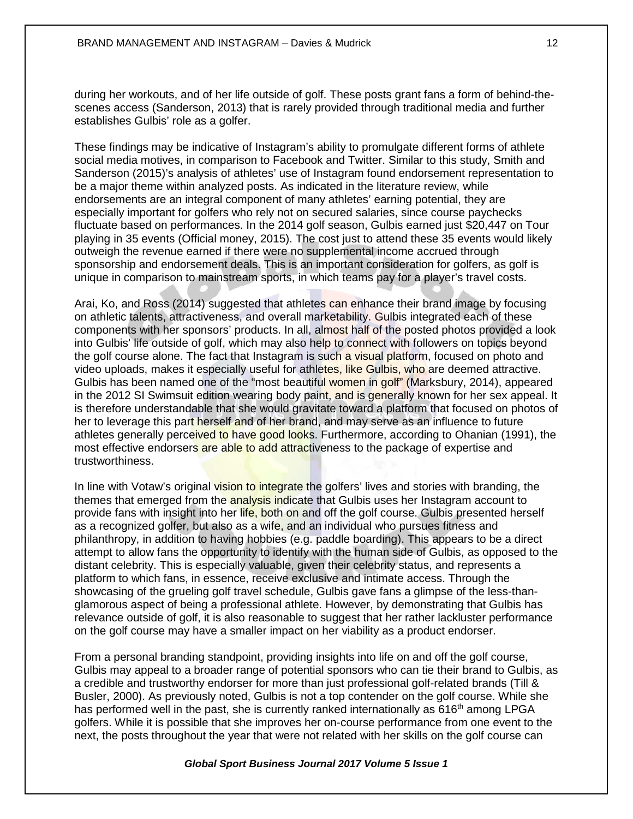during her workouts, and of her life outside of golf. These posts grant fans a form of behind-thescenes access (Sanderson, 2013) that is rarely provided through traditional media and further establishes Gulbis' role as a golfer.

These findings may be indicative of Instagram's ability to promulgate different forms of athlete social media motives, in comparison to Facebook and Twitter. Similar to this study, Smith and Sanderson (2015)'s analysis of athletes' use of Instagram found endorsement representation to be a major theme within analyzed posts. As indicated in the literature review, while endorsements are an integral component of many athletes' earning potential, they are especially important for golfers who rely not on secured salaries, since course paychecks fluctuate based on performances. In the 2014 golf season, Gulbis earned just \$20,447 on Tour playing in 35 events (Official money, 2015). The cost just to attend these 35 events would likely outweigh the revenue earned if there were no supplemental income accrued through sponsorship and endorsement deals. This is an important consideration for golfers, as golf is unique in comparison to mainstream sports, in which teams pay for a player's travel costs.

Arai, Ko, and Ross (2014) suggested that athletes can enhance their brand image by focusing on athletic talents, attractiveness, and overall marketability. Gulbis integrated each of these components with her sponsors' products. In all, almost half of the posted photos provided a look into Gulbis' life outside of golf, which may also help to connect with followers on topics beyond the golf course alone. The fact that Instagram is such a visual platform, focused on photo and video uploads, makes it especially useful for athletes, like Gulbis, who are deemed attractive. Gulbis has been named one of the "most beautiful women in golf" (Marksbury, 2014), appeared in the 2012 SI Swimsuit edition wearing body paint, and is generally known for her sex appeal. It is therefore understandable that she would gravitate toward a platform that focused on photos of her to leverage this part herself and of her brand, and may serve as an influence to future athletes generally perceived to have good looks. Furthermore, according to Ohanian (1991), the most effective endorsers are able to add attractiveness to the package of expertise and trustworthiness.

In line with Votaw's original vision to integrate the golfers' lives and stories with branding, the themes that emerged from the **analysis indicate that Gulbis uses her Instagram account to** provide fans with insight into her life, both on and off the golf course. Gulbis presented herself as a recognized golfer, but also as a wife, and an individual who pursues fitness and philanthropy, in addition to having hobbies (e.g. paddle boarding). This appears to be a direct attempt to allow fans the opportunity to identify with the human side of Gulbis, as opposed to the distant celebrity. This is especially valuable, given their celebrity status, and represents a platform to which fans, in essence, receive exclusive and intimate access. Through the showcasing of the grueling golf travel schedule, Gulbis gave fans a glimpse of the less-thanglamorous aspect of being a professional athlete. However, by demonstrating that Gulbis has relevance outside of golf, it is also reasonable to suggest that her rather lackluster performance on the golf course may have a smaller impact on her viability as a product endorser.

From a personal branding standpoint, providing insights into life on and off the golf course, Gulbis may appeal to a broader range of potential sponsors who can tie their brand to Gulbis, as a credible and trustworthy endorser for more than just professional golf-related brands (Till & Busler, 2000). As previously noted, Gulbis is not a top contender on the golf course. While she has performed well in the past, she is currently ranked internationally as 616<sup>th</sup> among LPGA golfers. While it is possible that she improves her on-course performance from one event to the next, the posts throughout the year that were not related with her skills on the golf course can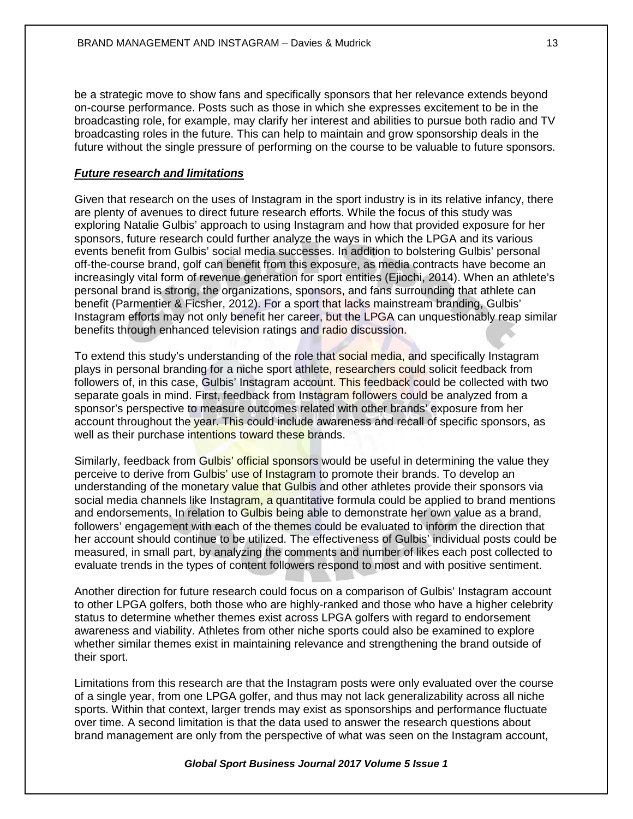be a strategic move to show fans and specifically sponsors that her relevance extends beyond on-course performance. Posts such as those in which she expresses excitement to be in the broadcasting role, for example, may clarify her interest and abilities to pursue both radio and TV broadcasting roles in the future. This can help to maintain and grow sponsorship deals in the future without the single pressure of performing on the course to be valuable to future sponsors.

## *Future research and limitations*

Given that research on the uses of Instagram in the sport industry is in its relative infancy, there are plenty of avenues to direct future research efforts. While the focus of this study was exploring Natalie Gulbis' approach to using Instagram and how that provided exposure for her sponsors, future research could further analyze the ways in which the LPGA and its various events benefit from Gulbis' social media successes. In addition to bolstering Gulbis' personal off-the-course brand, golf can benefit from this exposure, as media contracts have become an increasingly vital form of revenue generation for sport entities (Ejiochi, 2014). When an athlete's personal brand is strong, the organizations, sponsors, and fans surrounding that athlete can benefit (Parmentier & Ficsher, 2012). For a sport that lacks mainstream branding, Gulbis' Instagram efforts may not only benefit her career, but the LPGA can unquestionably reap similar benefits through enhanced television ratings and radio discussion.

To extend this study's understanding of the role that social media, and specifically Instagram plays in personal branding for a niche sport athlete, researchers could solicit feedback from followers of, in this case, Gulbis' Instagram account. This feedback could be collected with two separate goals in mind. First, feedback from Instagram followers could be analyzed from a sponsor's perspective to measure outcomes related with other brands' exposure from her account throughout the year. This could include awareness and recall of specific sponsors, as well as their purchase intentions toward these brands.

Similarly, feedback from Gulbis' official sponsors would be useful in determining the value they perceive to derive from Gulbis' use of Instagram to promote their brands. To develop an understanding of the monetary value that Gulbis and other athletes provide their sponsors via social media channels like Instagram, a quantitative formula could be applied to brand mentions and endorsements. In relation to Gulbis being able to demonstrate her own value as a brand, followers' engagement with each of the themes could be evaluated to inform the direction that her account should continue to be utilized. The effectiveness of Gulbis' individual posts could be measured, in small part, by analyzing the comments and number of likes each post collected to evaluate trends in the types of content followers respond to most and with positive sentiment.

Another direction for future research could focus on a comparison of Gulbis' Instagram account to other LPGA golfers, both those who are highly-ranked and those who have a higher celebrity status to determine whether themes exist across LPGA golfers with regard to endorsement awareness and viability. Athletes from other niche sports could also be examined to explore whether similar themes exist in maintaining relevance and strengthening the brand outside of their sport.

Limitations from this research are that the Instagram posts were only evaluated over the course of a single year, from one LPGA golfer, and thus may not lack generalizability across all niche sports. Within that context, larger trends may exist as sponsorships and performance fluctuate over time. A second limitation is that the data used to answer the research questions about brand management are only from the perspective of what was seen on the Instagram account,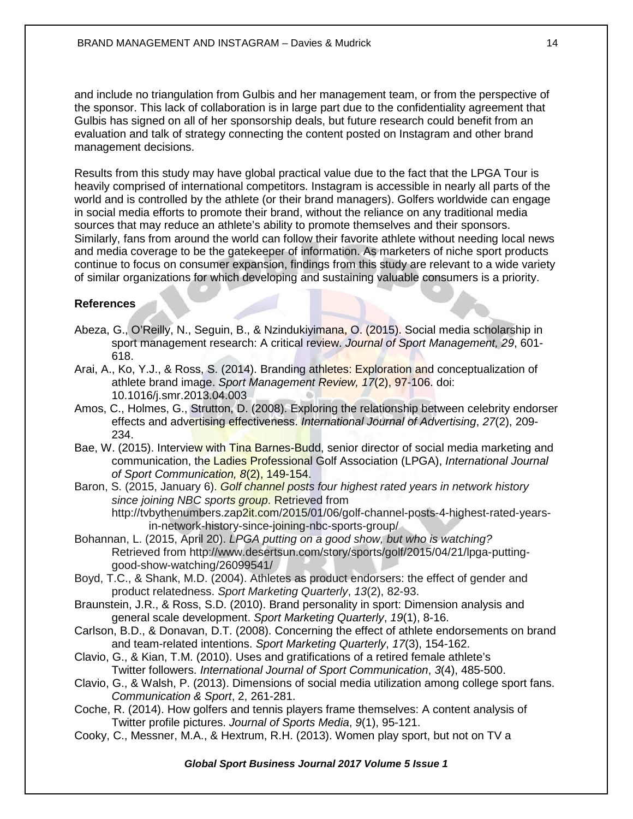and include no triangulation from Gulbis and her management team, or from the perspective of the sponsor. This lack of collaboration is in large part due to the confidentiality agreement that Gulbis has signed on all of her sponsorship deals, but future research could benefit from an evaluation and talk of strategy connecting the content posted on Instagram and other brand management decisions.

Results from this study may have global practical value due to the fact that the LPGA Tour is heavily comprised of international competitors. Instagram is accessible in nearly all parts of the world and is controlled by the athlete (or their brand managers). Golfers worldwide can engage in social media efforts to promote their brand, without the reliance on any traditional media sources that may reduce an athlete's ability to promote themselves and their sponsors. Similarly, fans from around the world can follow their favorite athlete without needing local news and media coverage to be the gatekeeper of information. As marketers of niche sport products continue to focus on consumer expansion, findings from this study are relevant to a wide variety of similar organizations for which developing and sustaining valuable consumers is a priority.

## **References**

- Abeza, G., O'Reilly, N., Seguin, B., & Nzindukiyimana, O. (2015). Social media scholarship in sport management research: A critical review. *Journal of Sport Management, 29*, 601- 618.
- Arai, A., Ko, Y.J., & Ross, S. (2014). Branding athletes: Exploration and conceptualization of athlete brand image. *Sport Management Review, 17*(2), 97-106. doi: 10.1016/j.smr.2013.04.003
- Amos, C., Holmes, G., Strutton, D. (2008). Exploring the relationship between celebrity endorser effects and advertising effectiveness. *International Journal of Advertising*, *27*(2), 209- 234.
- Bae, W. (2015). Interview with Tina Barnes-Budd, senior director of social media marketing and communication, the Ladies Professional Golf Association (LPGA), *International Journal of Sport Communication, 8*(2), 149-154.
- Baron, S. (2015, January 6). *Golf channel posts four highest rated years in network history since joining NBC sports group*. Retrieved from http://tvbythenumbers.zap2it.com/2015/01/06/golf-channel-posts-4-highest-rated-yearsin-network-history-since-joining-nbc-sports-group/
- Bohannan, L. (2015, April 20). *LPGA putting on a good show, but who is watching?* Retrieved from http://www.desertsun.com/story/sports/golf/2015/04/21/lpga-puttinggood-show-watching/26099541/
- Boyd, T.C., & Shank, M.D. (2004). Athletes as product endorsers: the effect of gender and product relatedness. *Sport Marketing Quarterly*, *13*(2), 82-93.
- Braunstein, J.R., & Ross, S.D. (2010). Brand personality in sport: Dimension analysis and general scale development. *Sport Marketing Quarterly*, *19*(1), 8-16.
- Carlson, B.D., & Donavan, D.T. (2008). Concerning the effect of athlete endorsements on brand and team-related intentions. *Sport Marketing Quarterly*, *17*(3), 154-162.
- Clavio, G., & Kian, T.M. (2010). Uses and gratifications of a retired female athlete's Twitter followers. *International Journal of Sport Communication*, *3*(4), 485-500.
- Clavio, G., & Walsh, P. (2013). Dimensions of social media utilization among college sport fans. *Communication & Sport*, 2, 261-281.
- Coche, R. (2014). How golfers and tennis players frame themselves: A content analysis of Twitter profile pictures. *Journal of Sports Media*, *9*(1), 95-121.
- Cooky, C., Messner, M.A., & Hextrum, R.H. (2013). Women play sport, but not on TV a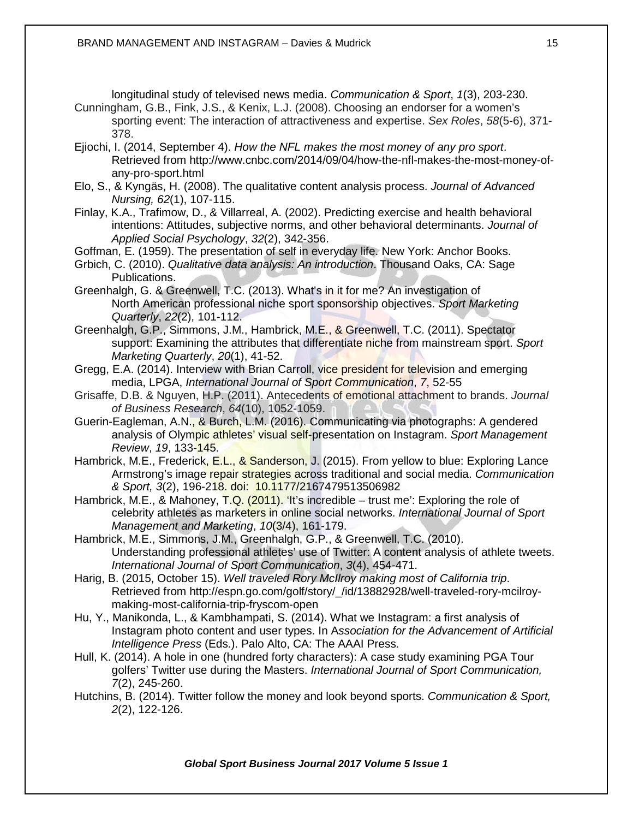longitudinal study of televised news media. *Communication & Sport*, *1*(3), 203-230.

- Cunningham, G.B., Fink, J.S., & Kenix, L.J. (2008). Choosing an endorser for a women's sporting event: The interaction of attractiveness and expertise. *Sex Roles*, *58*(5-6), 371- 378.
- Ejiochi, I. (2014, September 4). *How the NFL makes the most money of any pro sport*. Retrieved from http://www.cnbc.com/2014/09/04/how-the-nfl-makes-the-most-money-ofany-pro-sport.html
- Elo, S., & Kyngäs, H. (2008). The qualitative content analysis process. *Journal of Advanced Nursing, 62*(1), 107-115.
- Finlay, K.A., Trafimow, D., & Villarreal, A. (2002). Predicting exercise and health behavioral intentions: Attitudes, subjective norms, and other behavioral determinants. *Journal of Applied Social Psychology*, *32*(2), 342-356.
- Goffman, E. (1959). The presentation of self in everyday life. New York: Anchor Books.
- Grbich, C. (2010). *Qualitative data analysis: An introduction*. Thousand Oaks, CA: Sage Publications.
- Greenhalgh, G. & Greenwell, T.C. (2013). What's in it for me? An investigation of North American professional niche sport sponsorship objectives. *Sport Marketing Quarterly*, *22*(2), 101-112.
- Greenhalgh, G.P., Simmons, J.M., Hambrick, M.E., & Greenwell, T.C. (2011). Spectator support: Examining the attributes that differentiate niche from mainstream sport. *Sport Marketing Quarterly*, *20*(1), 41-52.
- Gregg, E.A. (2014). Interview with Brian Carroll, vice president for television and emerging media, LPGA, *International Journal of Sport Communication*, *7*, 52-55
- Grisaffe, D.B. & Nguyen, H.P. (2011). Antecedents of emotional attachment to brands. *Journal of Business Research*, *64*(10), 1052-1059.
- Guerin-Eagleman, A.N., & Burch, L.M. (2016). Communicating via photographs: A gendered analysis of Olympic athletes' visual self-presentation on Instagram. *Sport Management Review*, *19*, 133-145.
- Hambrick, M.E., Frederick, E.L., & Sanderson, J. (2015). From yellow to blue: Exploring Lance Armstrong's image repair strategies across traditional and social media. *Communication & Sport, 3*(2), 196-218. doi: 10.1177/2167479513506982
- Hambrick, M.E., & Mahoney, T.Q. (2011). 'It's incredible trust me': Exploring the role of celebrity athletes as marketers in online social networks. *International Journal of Sport Management and Marketing*, *10*(3/4), 161-179.
- Hambrick, M.E., Simmons, J.M., Greenhalgh, G.P., & Greenwell, T.C. (2010). Understanding professional athletes' use of Twitter: A content analysis of athlete tweets. *International Journal of Sport Communication*, *3*(4), 454-471.
- Harig, B. (2015, October 15). *Well traveled Rory McIlroy making most of California trip*. Retrieved from http://espn.go.com/golf/story/\_/id/13882928/well-traveled-rory-mcilroymaking-most-california-trip-fryscom-open
- Hu, Y., Manikonda, L., & Kambhampati, S. (2014). What we Instagram: a first analysis of Instagram photo content and user types. In A*ssociation for the Advancement of Artificial Intelligence Press* (Eds.). Palo Alto, CA: The AAAI Press.
- Hull, K. (2014). A hole in one (hundred forty characters): A case study examining PGA Tour golfers' Twitter use during the Masters. *International Journal of Sport Communication, 7*(2), 245-260.
- Hutchins, B. (2014). Twitter follow the money and look beyond sports. *Communication & Sport, 2*(2), 122-126.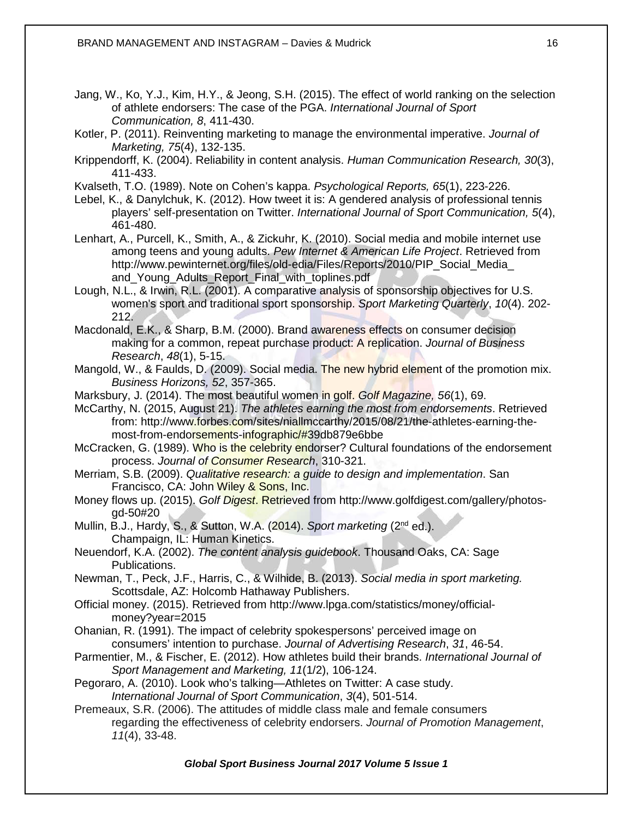Jang, W., Ko, Y.J., Kim, H.Y., & Jeong, S.H. (2015). The effect of world ranking on the selection of athlete endorsers: The case of the PGA. *International Journal of Sport Communication, 8*, 411-430.

Kotler, P. (2011). Reinventing marketing to manage the environmental imperative. *Journal of Marketing, 75*(4), 132-135.

Krippendorff, K. (2004). Reliability in content analysis. *Human Communication Research, 30*(3), 411-433.

Kvalseth, T.O. (1989). Note on Cohen's kappa. *Psychological Reports, 65*(1), 223-226.

Lebel, K., & Danylchuk, K. (2012). How tweet it is: A gendered analysis of professional tennis players' self-presentation on Twitter. *International Journal of Sport Communication, 5*(4), 461-480.

- Lenhart, A., Purcell, K., Smith, A., & Zickuhr, K. (2010). Social media and mobile internet use among teens and young adults. *Pew Internet & American Life Project*. Retrieved from [http://www.pewinternet.org/files/old-edia/Files/Reports/2010/PIP\\_Social\\_Media\\_](http://www.pewinternet.org/files/old-edia/Files/Reports/2010/PIP_Social_Media_) and Young Adults Report Final with toplines.pdf
- Lough, N.L., & Irwin, R.L. (2001). A comparative analysis of sponsorship objectives for U.S. women's sport and traditional sport sponsorship. *Sport Marketing Quarterly*, *10*(4). 202- 212.

Macdonald, E.K., & Sharp, B.M. (2000). Brand awareness effects on consumer decision making for a common, repeat purchase product: A replication. *Journal of Business Research*, *48*(1), 5-15.

- Mangold, W., & Faulds, D. (2009). Social media. The new hybrid element of the promotion mix. *Business Horizons, 52*, 357-365.
- Marksbury, J. (2014). The most beautiful women in golf. *Golf Magazine, 56*(1), 69.

McCarthy, N. (2015, August 21). *The athletes earning the most from endorsements*. Retrieved from: http://www.forbes.com/sites/niallmccarthy/2015/08/21/the-athletes-earning-themost-from-endorsements-infographic/#39db879e6bbe

McCracken, G. (1989). Who is the celebrity endorser? Cultural foundations of the endorsement process. *Journal of Consumer Research*, 310-321.

Merriam, S.B. (2009). *Qualitative research: a guide to design and implementation*. San Francisco, CA: John Wiley & Sons, Inc.

- Money flows up. (2015). *Golf Digest*. Retrieved from http://www.golfdigest.com/gallery/photosgd-50#20
- Mullin, B.J., Hardy, S., & Sutton, W.A. (2014). *Sport marketing* (2nd ed.). Champaign, IL: Human Kinetics.

Neuendorf, K.A. (2002). *The content analysis guidebook*. Thousand Oaks, CA: Sage Publications.

Newman, T., Peck, J.F., Harris, C., & Wilhide, B. (2013). *Social media in sport marketing.* Scottsdale, AZ: Holcomb Hathaway Publishers.

- Official money. (2015). Retrieved from http://www.lpga.com/statistics/money/officialmoney?year=2015
- Ohanian, R. (1991). The impact of celebrity spokespersons' perceived image on consumers' intention to purchase. *Journal of Advertising Research*, *31*, 46-54.
- Parmentier, M., & Fischer, E. (2012). How athletes build their brands. *International Journal of Sport Management and Marketing, 11*(1/2), 106-124.
- Pegoraro, A. (2010). Look who's talking—Athletes on Twitter: A case study. *International Journal of Sport Communication*, *3*(4), 501-514.

Premeaux, S.R. (2006). The attitudes of middle class male and female consumers regarding the effectiveness of celebrity endorsers. *Journal of Promotion Management*, *11*(4), 33-48.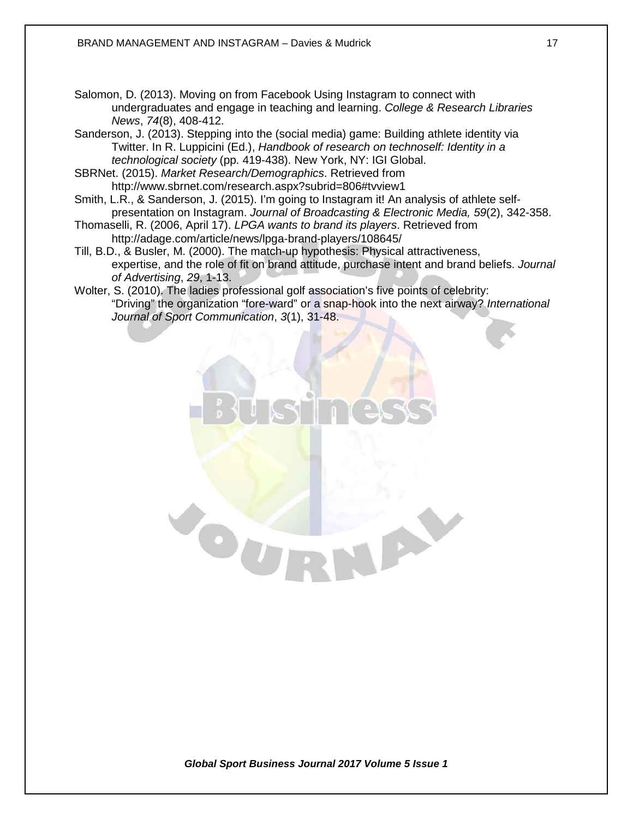- Salomon, D. (2013). Moving on from Facebook Using Instagram to connect with undergraduates and engage in teaching and learning. *College & Research Libraries News*, *74*(8), 408-412.
- Sanderson, J. (2013). Stepping into the (social media) game: Building athlete identity via Twitter. In R. Luppicini (Ed.), *Handbook of research on technoself: Identity in a technological society* (pp. 419-438). New York, NY: IGI Global.
- SBRNet. (2015). *Market Research/Demographics*. Retrieved from http://www.sbrnet.com/research.aspx?subrid=806#tvview1

- Smith, L.R., & Sanderson, J. (2015). I'm going to Instagram it! An analysis of athlete selfpresentation on Instagram. *Journal of Broadcasting & Electronic Media, 59*(2), 342-358.
- Thomaselli, R. (2006, April 17). *LPGA wants to brand its players*. Retrieved from http://adage.com/article/news/lpga-brand-players/108645/
- Till, B.D., & Busler, M. (2000). The match-up hypothesis: Physical attractiveness, expertise, and the role of fit on brand attitude, purchase intent and brand beliefs. *Journal of Advertising*, *29*, 1-13.
- Wolter, S. (2010). The ladies professional golf association's five points of celebrity: "Driving" the organization "fore-ward" or a snap-hook into the next airway? *International Journal of Sport Communication*, *3*(1), 31-48.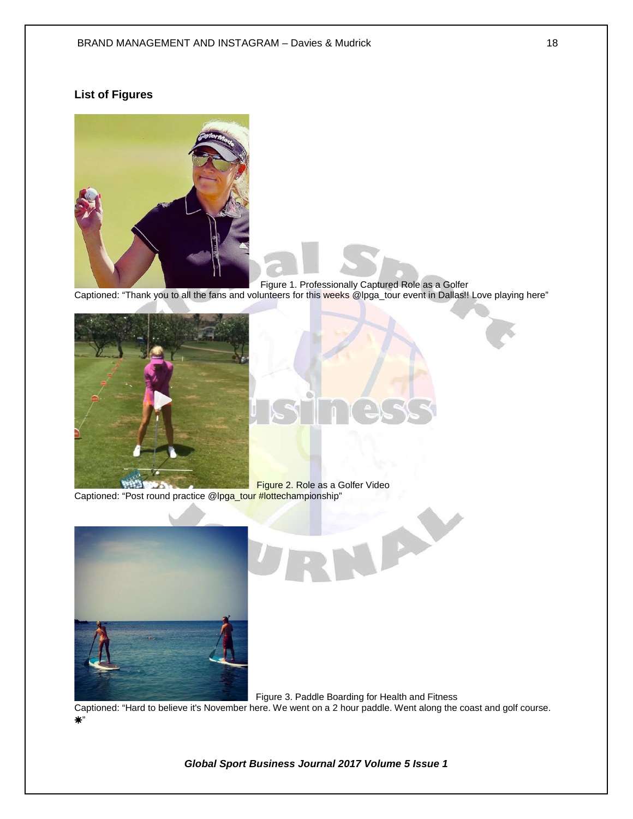## **List of Figures**



Figure 1. Professionally Captured Role as a Golfer

Captioned: "Thank you to all the fans and volunteers for this weeks @lpga\_tour event in Dallas!! Love playing here"



 Figure 2. Role as a Golfer Video  $\sim$ Captioned: "Post round practice @lpga\_tour #lottechampionship" X





Captioned: "Hard to believe it's November here. We went on a 2 hour paddle. Went along the coast and golf course. ☀"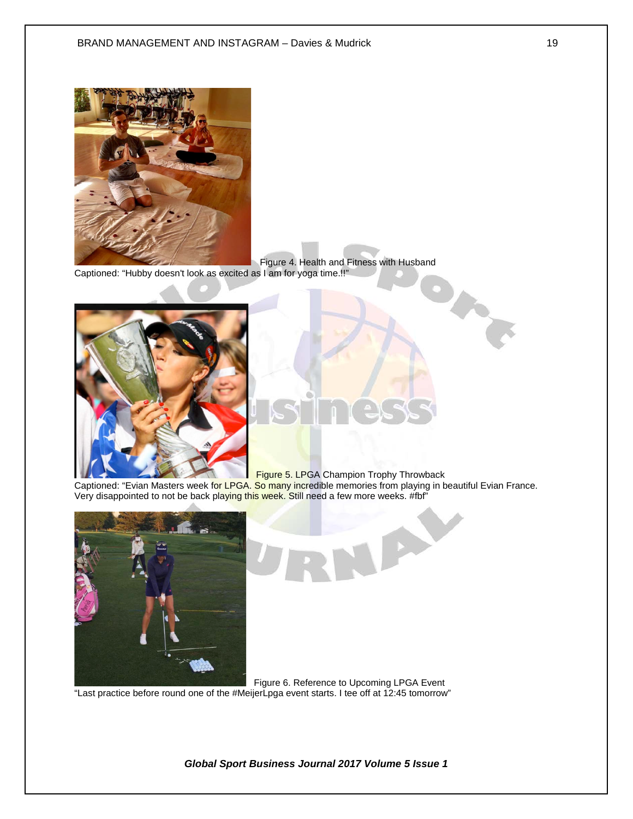

 Figure 4. Health and Fitness with Husband Captioned: "Hubby doesn't look as excited as I am for yoga time.!!"



**Figure 5. LPGA Champion Trophy Throwback** 

**DO** 

Captioned: "Evian Masters week fo<mark>r LPGA. So ma</mark>ny incredible memories from playing in beautiful Evian France. Very disappointed to not be back playing this week. Still need a few more weeks. #fbf"





"Last practice before round one of the #MeijerLpga event starts. I tee off at 12:45 tomorrow"

*Global Sport Business Journal 2017 Volume 5 Issue 1*

**Property**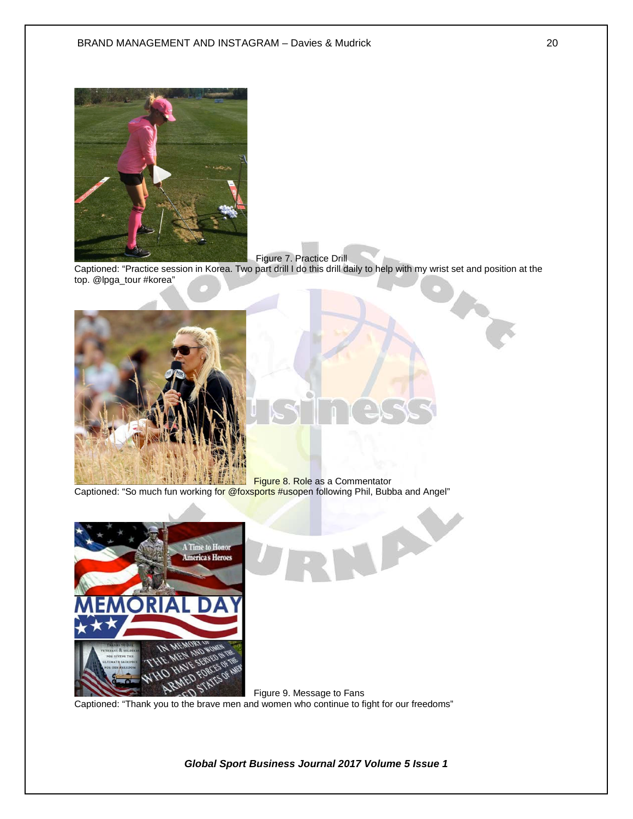

Figure 7. Practice Drill

Captioned: "Practice session in Korea. Two part drill I do this drill daily to help with my wrist set and position at the top. @lpga\_tour #korea"



**Figure 8. Role as a Commentator** Captioned: "So much fun working fo<mark>r @foxsports #us</mark>open following Phil, Bubba and Angel"



 Figure 9. Message to Fans Captioned: "Thank you to the brave men and women who continue to fight for our freedoms"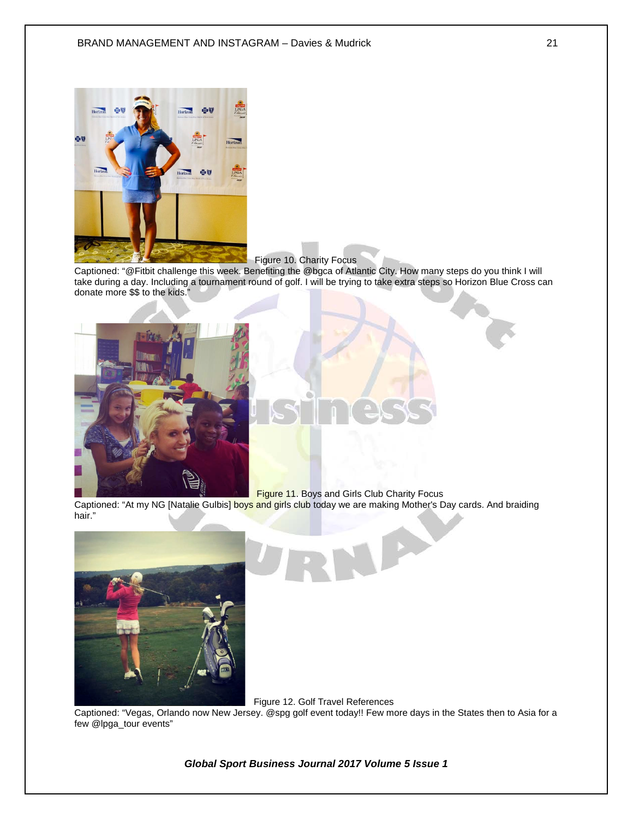

Figure 10. Charity Focus

Captioned: "@Fitbit challenge this week. Benefiting the @bgca of Atlantic City. How many steps do you think I will take during a day. Including a tournament round of golf. I will be trying to take extra steps so Horizon Blue Cross can donate more \$\$ to the kids."



Figure 11. Boys and Girls Club Charity Focus

Captioned: "At my NG [Natalie Gulbis] boys and girls club today we are making Mother's Day cards. And braiding hair."



Figure 12. Golf Travel References

Captioned: "Vegas, Orlando now New Jersey. @spg golf event today!! Few more days in the States then to Asia for a few @lpga\_tour events"